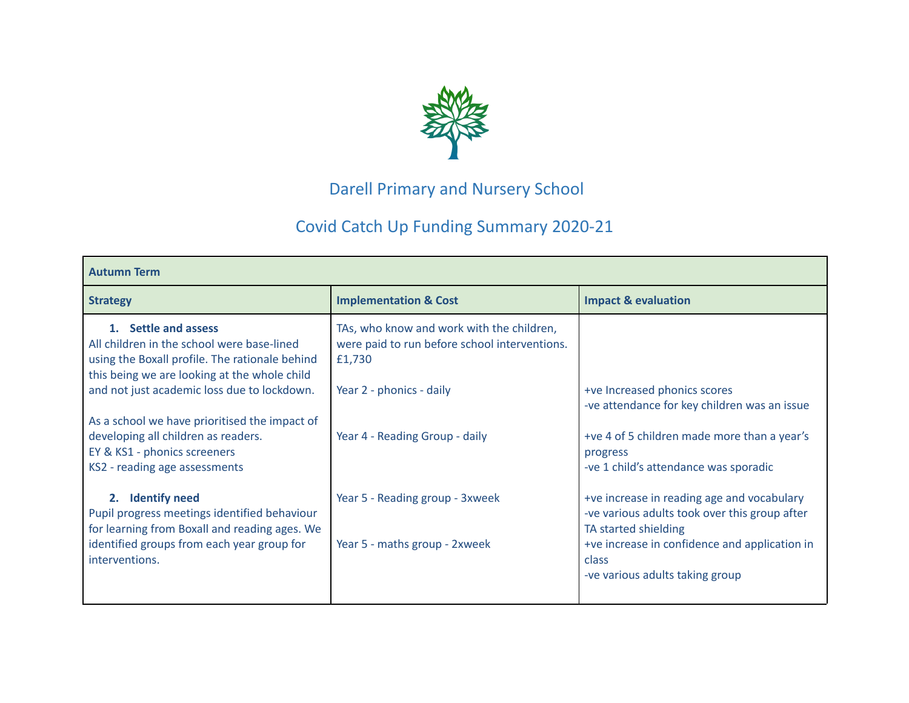

## Darell Primary and Nursery School

## Covid Catch Up Funding Summary 2020-21

| <b>Autumn Term</b>                                                                                                                                                                                                                                                                                                                          |                                                                                                                                                                    |                                                                                                                                                                                                                                                           |  |  |  |  |  |  |
|---------------------------------------------------------------------------------------------------------------------------------------------------------------------------------------------------------------------------------------------------------------------------------------------------------------------------------------------|--------------------------------------------------------------------------------------------------------------------------------------------------------------------|-----------------------------------------------------------------------------------------------------------------------------------------------------------------------------------------------------------------------------------------------------------|--|--|--|--|--|--|
| <b>Strategy</b>                                                                                                                                                                                                                                                                                                                             | <b>Implementation &amp; Cost</b>                                                                                                                                   | <b>Impact &amp; evaluation</b>                                                                                                                                                                                                                            |  |  |  |  |  |  |
| 1. Settle and assess<br>All children in the school were base-lined<br>using the Boxall profile. The rationale behind<br>this being we are looking at the whole child<br>and not just academic loss due to lockdown.<br>As a school we have prioritised the impact of<br>developing all children as readers.<br>EY & KS1 - phonics screeners | TAs, who know and work with the children,<br>were paid to run before school interventions.<br>£1,730<br>Year 2 - phonics - daily<br>Year 4 - Reading Group - daily | +ve Increased phonics scores<br>-ve attendance for key children was an issue<br>+ve 4 of 5 children made more than a year's<br>progress                                                                                                                   |  |  |  |  |  |  |
| KS2 - reading age assessments<br><b>Identify need</b><br>2.<br>Pupil progress meetings identified behaviour<br>for learning from Boxall and reading ages. We<br>identified groups from each year group for<br>interventions.                                                                                                                | Year 5 - Reading group - 3xweek<br>Year 5 - maths group - 2xweek                                                                                                   | -ve 1 child's attendance was sporadic<br>+ve increase in reading age and vocabulary<br>-ve various adults took over this group after<br>TA started shielding<br>+ve increase in confidence and application in<br>class<br>-ve various adults taking group |  |  |  |  |  |  |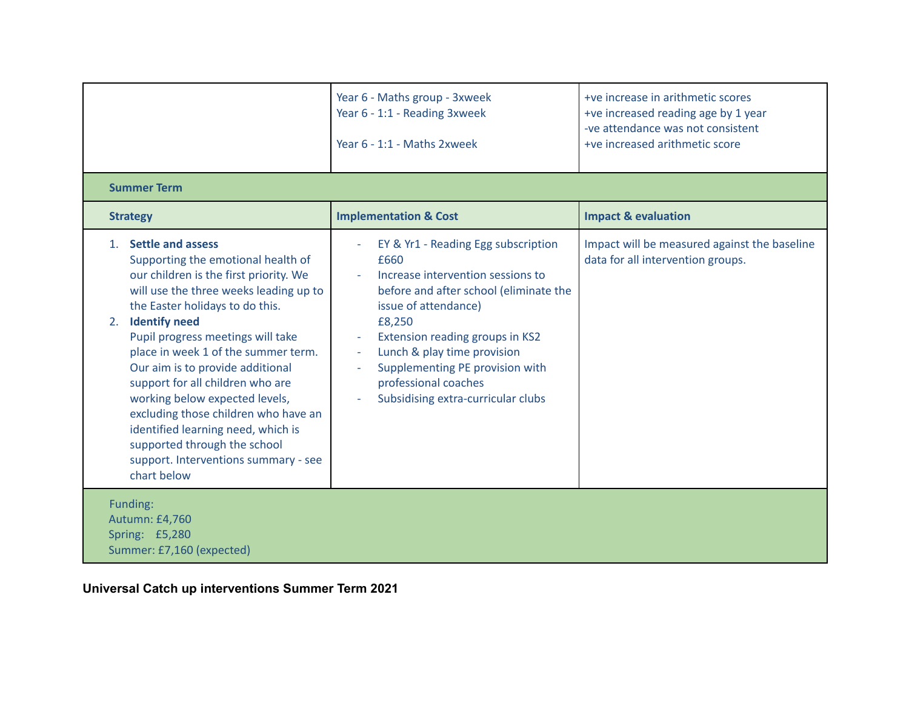|                                                                                                                                                                                                                                                                                                                                                                                                                                                                                                                                                                            | Year 6 - Maths group - 3xweek<br>Year 6 - 1:1 - Reading 3xweek<br>Year 6 - 1:1 - Maths 2xweek                                                                                                                                                                                                                                                               | +ve increase in arithmetic scores<br>+ve increased reading age by 1 year<br>-ve attendance was not consistent<br>+ve increased arithmetic score |  |  |  |  |  |  |
|----------------------------------------------------------------------------------------------------------------------------------------------------------------------------------------------------------------------------------------------------------------------------------------------------------------------------------------------------------------------------------------------------------------------------------------------------------------------------------------------------------------------------------------------------------------------------|-------------------------------------------------------------------------------------------------------------------------------------------------------------------------------------------------------------------------------------------------------------------------------------------------------------------------------------------------------------|-------------------------------------------------------------------------------------------------------------------------------------------------|--|--|--|--|--|--|
| <b>Summer Term</b>                                                                                                                                                                                                                                                                                                                                                                                                                                                                                                                                                         |                                                                                                                                                                                                                                                                                                                                                             |                                                                                                                                                 |  |  |  |  |  |  |
| <b>Strategy</b>                                                                                                                                                                                                                                                                                                                                                                                                                                                                                                                                                            | <b>Implementation &amp; Cost</b>                                                                                                                                                                                                                                                                                                                            | <b>Impact &amp; evaluation</b>                                                                                                                  |  |  |  |  |  |  |
| 1. Settle and assess<br>Supporting the emotional health of<br>our children is the first priority. We<br>will use the three weeks leading up to<br>the Easter holidays to do this.<br><b>Identify need</b><br>2.<br>Pupil progress meetings will take<br>place in week 1 of the summer term.<br>Our aim is to provide additional<br>support for all children who are<br>working below expected levels,<br>excluding those children who have an<br>identified learning need, which is<br>supported through the school<br>support. Interventions summary - see<br>chart below | EY & Yr1 - Reading Egg subscription<br>£660<br>Increase intervention sessions to<br>before and after school (eliminate the<br>issue of attendance)<br>£8,250<br>Extension reading groups in KS2<br>Lunch & play time provision<br>$\overline{\phantom{a}}$<br>Supplementing PE provision with<br>professional coaches<br>Subsidising extra-curricular clubs | Impact will be measured against the baseline<br>data for all intervention groups.                                                               |  |  |  |  |  |  |
| Funding:<br>Autumn: £4,760<br>Spring: £5,280<br>Summer: £7,160 (expected)                                                                                                                                                                                                                                                                                                                                                                                                                                                                                                  |                                                                                                                                                                                                                                                                                                                                                             |                                                                                                                                                 |  |  |  |  |  |  |

**Universal Catch up interventions Summer Term 2021**